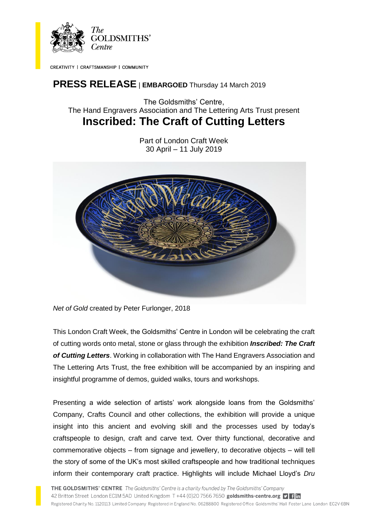

CREATIVITY | CRAFTSMANSHIP | COMMUNITY

# **PRESS RELEASE** <sup>|</sup>**EMBARGOED** Thursday 14 March 2019

The Goldsmiths' Centre, The Hand Engravers Association and The Lettering Arts Trust present **Inscribed: The Craft of Cutting Letters**

> Part of London Craft Week 30 April – 11 July 2019



*Net of Gold* created by Peter Furlonger, 2018

This London Craft Week, the Goldsmiths' Centre in London will be celebrating the craft of cutting words onto metal, stone or glass through the exhibition *Inscribed: The Craft of Cutting Letters*. Working in collaboration with The Hand Engravers Association and The Lettering Arts Trust, the free exhibition will be accompanied by an inspiring and insightful programme of demos, guided walks, tours and workshops.

Presenting a wide selection of artists' work alongside loans from the Goldsmiths' Company, Crafts Council and other collections, the exhibition will provide a unique insight into this ancient and evolving skill and the processes used by today's craftspeople to design, craft and carve text. Over thirty functional, decorative and commemorative objects – from signage and jewellery, to decorative objects – will tell the story of some of the UK's most skilled craftspeople and how traditional techniques inform their contemporary craft practice. Highlights will include Michael Lloyd's *Dru*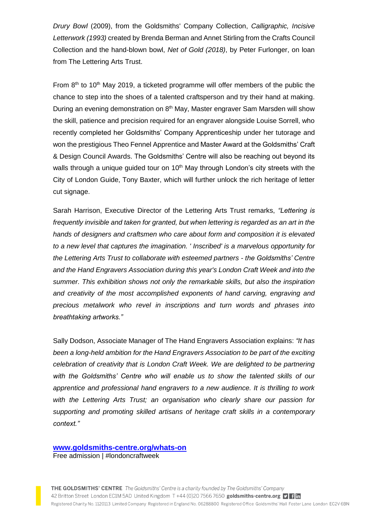*Drury Bowl* (2009), from the Goldsmiths' Company Collection, *Calligraphic, Incisive Letterwork (1993)* created by Brenda Berman and Annet Stirling from the Crafts Council Collection and the hand-blown bowl, *Net of Gold (2018)*, by Peter Furlonger, on loan from The Lettering Arts Trust.

From  $8<sup>th</sup>$  to 10<sup>th</sup> May 2019, a ticketed programme will offer members of the public the chance to step into the shoes of a talented craftsperson and try their hand at making. During an evening demonstration on 8<sup>th</sup> May, Master engraver Sam Marsden will show the skill, patience and precision required for an engraver alongside Louise Sorrell, who recently completed her Goldsmiths' Company Apprenticeship under her tutorage and won the prestigious Theo Fennel Apprentice and Master Award at the Goldsmiths' Craft & Design Council Awards. The Goldsmiths' Centre will also be reaching out beyond its walls through a unique guided tour on  $10<sup>th</sup>$  May through London's city streets with the City of London Guide, Tony Baxter, which will further unlock the rich heritage of letter cut signage.

Sarah Harrison, Executive Director of the Lettering Arts Trust remarks, *"Lettering is frequently invisible and taken for granted, but when lettering is regarded as an art in the hands of designers and craftsmen who care about form and composition it is elevated to a new level that captures the imagination. ' Inscribed' is a marvelous opportunity for the Lettering Arts Trust to collaborate with esteemed partners - the Goldsmiths' Centre and the Hand Engravers Association during this year's London Craft Week and into the summer. This exhibition shows not only the remarkable skills, but also the inspiration and creativity of the most accomplished exponents of hand carving, engraving and precious metalwork who revel in inscriptions and turn words and phrases into breathtaking artworks."*

Sally Dodson, Associate Manager of The Hand Engravers Association explains: *"It has been a long-held ambition for the Hand Engravers Association to be part of the exciting celebration of creativity that is London Craft Week. We are delighted to be partnering with the Goldsmiths' Centre who will enable us to show the talented skills of our apprentice and professional hand engravers to a new audience. It is thrilling to work with the Lettering Arts Trust; an organisation who clearly share our passion for supporting and promoting skilled artisans of heritage craft skills in a contemporary context."*

### **[www.goldsmiths-centre.org/whats-on](http://www.goldsmiths-centre.org/whats-on)**

Free admission | #londoncraftweek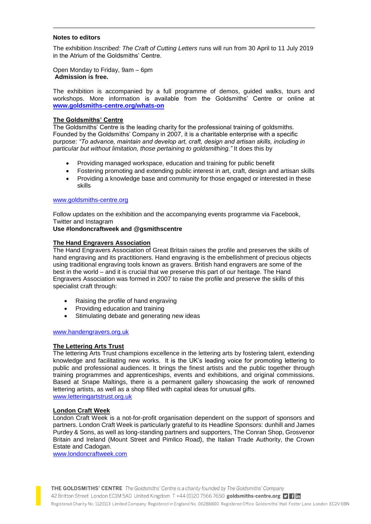#### **Notes to editors**

The exhibition *Inscribed: The Craft of Cutting Letters* runs will run from 30 April to 11 July 2019 in the Atrium of the Goldsmiths' Centre.

Open Monday to Friday, 9am – 6pm **Admission is free.** 

The exhibition is accompanied by a full programme of demos, guided walks, tours and workshops. More information is available from the Goldsmiths' Centre or online at **[www.goldsmiths-centre.org/whats-on](http://www.goldsmiths-centre.org/whats-on)**

#### **The Goldsmiths' Centre**

The Goldsmiths' Centre is the leading charity for the professional training of goldsmiths. Founded by the Goldsmiths' Company in 2007, it is a charitable enterprise with a specific purpose: *"To advance, maintain and develop art, craft, design and artisan skills, including in particular but without limitation, those pertaining to goldsmithing."* It does this by

- Providing managed workspace, education and training for public benefit
- Fostering promoting and extending public interest in art, craft, design and artisan skills
- Providing a knowledge base and community for those engaged or interested in these skills

#### [www.goldsmiths-centre.org](http://www.goldsmiths-centre.org/)

Follow updates on the exhibition and the accompanying events programme via Facebook, Twitter and Instagram

## **Use #londoncraftweek and @gsmithscentre**

#### **The Hand Engravers Association**

The Hand Engravers Association of Great Britain raises the profile and preserves the skills of hand engraving and its practitioners. Hand engraving is the embellishment of precious objects using traditional engraving tools known as gravers. British hand engravers are some of the best in the world – and it is crucial that we preserve this part of our heritage. The Hand Engravers Association was formed in 2007 to raise the profile and preserve the skills of this specialist craft through:

- Raising the profile of hand engraving
- Providing education and training
- Stimulating debate and generating new ideas

#### www.handengravers.org.uk

#### **The Lettering Arts Trust**

The lettering Arts Trust champions excellence in the lettering arts by fostering talent, extending knowledge and facilitating new works. It is the UK's leading voice for promoting lettering to public and professional audiences. It brings the finest artists and the public together through training programmes and apprenticeships, events and exhibitions, and original commissions. Based at Snape Maltings, there is a permanent gallery showcasing the work of renowned lettering artists, as well as a shop filled with capital ideas for unusual gifts. www.letteringartstrust.org.uk

#### **London Craft Week**

London Craft Week is a not-for-profit organisation dependent on the support of sponsors and partners. London Craft Week is particularly grateful to its Headline Sponsors: dunhill and James Purdey & Sons, as well as long-standing partners and supporters, The Conran Shop, Grosvenor Britain and Ireland (Mount Street and Pimlico Road), the Italian Trade Authority, the Crown Estate and Cadogan.

[www.londoncraftweek.com](http://www.londoncraftweek.com/)